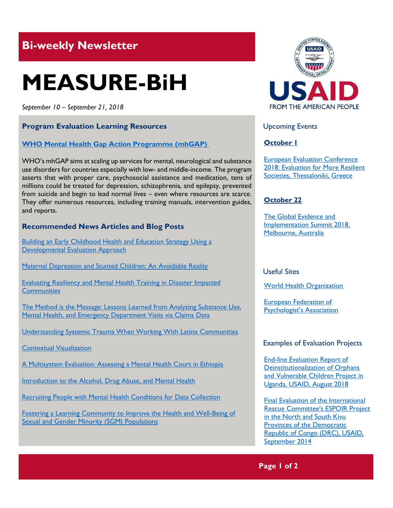# **Bi-weekly Newsletter**

# **MEASURE-BiH**

*September 10 – September 21, 2018*

## **Program Evaluation Learning Resources**

#### **[WHO Mental Health Gap Action Programme \(mhGAP\)](http://www.who.int/mental_health/mhgap/en/)**

WHO's mhGAP aims at scaling up services for mental, neurological and substance use disorders for countries especially with low- and middle-income. The program asserts that with proper care, psychosocial assistance and medication, tens of millions could be treated for depression, schizophrenia, and epilepsy, prevented from suicide and begin to lead normal lives – even where resources are scarce. They offer numerous resources, including training manuals, intervention guides, and reports.

#### **Recommended News Articles and Blog Posts**

[Building an Early Childhood Health and Education Strategy Using a](https://aea365.org/blog/lawg-week-valerie-hutcherson-and-rebekah-hudgins-on-building-an-early-childhood-health-and-education-strategy-using-a-developmental-evaluation-approach/)  [Developmental Evaluation Approach](https://aea365.org/blog/lawg-week-valerie-hutcherson-and-rebekah-hudgins-on-building-an-early-childhood-health-and-education-strategy-using-a-developmental-evaluation-approach/)

[Maternal Depression and Stunted Children: An Avoidable Reality](http://blogs.worldbank.org/health/maternal-depression-and-stunted-children-avoidable-reality)

[Evaluating Resiliency and Mental Health Training in Disaster Impacted](https://aea365.org/blog/deme-tig-week-evaluating-resiliency-and-mental-health-training-in-disaster-impacted-communities-by-sue-ann-corell-sarpy/)  **[Communities](https://aea365.org/blog/deme-tig-week-evaluating-resiliency-and-mental-health-training-in-disaster-impacted-communities-by-sue-ann-corell-sarpy/)** 

[The Method is the Message: Lessons Learned from Analyzing Substance Use,](https://aea365.org/blog/bh-tig-week-the-method-is-the-message-lessons-learned-from-analyzing-substance-use-mental-health-and-emergency-department-visits-via-claims-data-by-shannon-campbell/)  [Mental Health, and Emergency Department Visits via Claims Data](https://aea365.org/blog/bh-tig-week-the-method-is-the-message-lessons-learned-from-analyzing-substance-use-mental-health-and-emergency-department-visits-via-claims-data-by-shannon-campbell/)

[Understanding Systemic Trauma When Working With Latinx Communities](https://aea365.org/blog/la-red-tig-week-understanding-systemic-trauma-when-working-with-latinx-communities-by-josephine-v-serrata-gabriela-hurtado-alvarado-laurie-cook-heffron/)

[Contextual Visualization](https://aea365.org/blog/dvr-tig-week-janina-mobach-on-contextual-visualization/) 

[A Multisystem Evaluation: Assessing a Mental Health Court in Ethiopia](https://aea365.org/blog/bh-tig-week-a-multisystem-evaluation-assessing-a-mental-health-court-in-ethiopia-by-faisal-islam/)

[Introduction to the Alcohol, Drug Abuse, and Mental Health](https://aea365.org/blog/adamh-week-roger-boothroyd-with-an-introduction-to-the-alcohol-drug-abuse-and-mental-health-tig-week/)

[Recruiting People with Mental Health Conditions for Data Collection](https://aea365.org/blog/linda-cabral-laura-sefton-and-kathy-muhr-on-recruiting-people-with-mental-health-conditions-for-data-collection/)

[Fostering a Learning Community to Improve the Health and Well-Being of](https://aea365.org/blog/cea-week-fostering-a-learning-community-to-improve-the-health-and-well-being-of-sexual-and-gender-minority-sgm-populations-by-dylan-felt-and-peter-lindeman/)  [Sexual and Gender Minority \(SGM\) Populations](https://aea365.org/blog/cea-week-fostering-a-learning-community-to-improve-the-health-and-well-being-of-sexual-and-gender-minority-sgm-populations-by-dylan-felt-and-peter-lindeman/)



Upcoming Events

#### **October 1**

[European Evaluation Conference](http://www.ees2018.eu/)  [2018: Evaluation for More Resilient](http://www.ees2018.eu/)  [Societies, Thessaloniki, Greece](http://www.ees2018.eu/)

#### **October 22**

[The Global Evidence](https://www.geis2018.org/) and [Implementation Summit 2018,](https://www.geis2018.org/) [Melbourne, Australia](https://www.geis2018.org/)

#### Useful Sites

[World Health Organization](http://www.who.int/)

[European Federation of](http://www.efpa.eu/)  [Psychologist's Association](http://www.efpa.eu/) 

#### Examples of Evaluation Projects

[End-line Evaluation Report of](https://dec.usaid.gov/dec/content/Detail_Presto.aspx?ctID=ODVhZjk4NWQtM2YyMi00YjRmLTkxNjktZTcxMjM2NDBmY2Uy&rID=NTExNjk2&qrs=RmFsc2U%3d&q=KERvY3VtZW50cy5CaWJ0eXBlX05hbWU6KCgiU3BlY2lhbCBFdmFsdWF0aW9uIikgT1IgKCJGaW5hbCBFdmFsdWF0aW9uIFJlcG9ydCIpKSk%3d&ph=VHJ1ZQ%3d%3d&bckToL=VHJ1ZQ%3d%3d&rrtc=VHJ1ZQ%3d%3d)  [Deinstitutionalization of Orphans](https://dec.usaid.gov/dec/content/Detail_Presto.aspx?ctID=ODVhZjk4NWQtM2YyMi00YjRmLTkxNjktZTcxMjM2NDBmY2Uy&rID=NTExNjk2&qrs=RmFsc2U%3d&q=KERvY3VtZW50cy5CaWJ0eXBlX05hbWU6KCgiU3BlY2lhbCBFdmFsdWF0aW9uIikgT1IgKCJGaW5hbCBFdmFsdWF0aW9uIFJlcG9ydCIpKSk%3d&ph=VHJ1ZQ%3d%3d&bckToL=VHJ1ZQ%3d%3d&rrtc=VHJ1ZQ%3d%3d)  [and Vulnerable Children Project in](https://dec.usaid.gov/dec/content/Detail_Presto.aspx?ctID=ODVhZjk4NWQtM2YyMi00YjRmLTkxNjktZTcxMjM2NDBmY2Uy&rID=NTExNjk2&qrs=RmFsc2U%3d&q=KERvY3VtZW50cy5CaWJ0eXBlX05hbWU6KCgiU3BlY2lhbCBFdmFsdWF0aW9uIikgT1IgKCJGaW5hbCBFdmFsdWF0aW9uIFJlcG9ydCIpKSk%3d&ph=VHJ1ZQ%3d%3d&bckToL=VHJ1ZQ%3d%3d&rrtc=VHJ1ZQ%3d%3d)  [Uganda, USAID, August 2018](https://dec.usaid.gov/dec/content/Detail_Presto.aspx?ctID=ODVhZjk4NWQtM2YyMi00YjRmLTkxNjktZTcxMjM2NDBmY2Uy&rID=NTExNjk2&qrs=RmFsc2U%3d&q=KERvY3VtZW50cy5CaWJ0eXBlX05hbWU6KCgiU3BlY2lhbCBFdmFsdWF0aW9uIikgT1IgKCJGaW5hbCBFdmFsdWF0aW9uIFJlcG9ydCIpKSk%3d&ph=VHJ1ZQ%3d%3d&bckToL=VHJ1ZQ%3d%3d&rrtc=VHJ1ZQ%3d%3d)

[Final Evaluation of the International](https://dec.usaid.gov/dec/content/Detail_Presto.aspx?ctID=ODVhZjk4NWQtM2YyMi00YjRmLTkxNjktZTcxMjM2NDBmY2Uy&rID=MTk4MTM1&qrs=RmFsc2U%3d&q=KERvY3VtZW50cy5CaWJ0eXBlX05hbWU6KCgiU3BlY2lhbCBFdmFsdWF0aW9uIikgT1IgKCJGaW5hbCBFdmFsdWF0aW9uIFJlcG9ydCIpKSk%3d&swi=RVNQT0lSIFByb2plY3Q%3d&ph=VHJ1ZQ%3d%3d&bckToL=VHJ1ZQ%3d%3d&rrtc=VHJ1ZQ%3d%3d)  [Rescue Committee's ESPOIR Project](https://dec.usaid.gov/dec/content/Detail_Presto.aspx?ctID=ODVhZjk4NWQtM2YyMi00YjRmLTkxNjktZTcxMjM2NDBmY2Uy&rID=MTk4MTM1&qrs=RmFsc2U%3d&q=KERvY3VtZW50cy5CaWJ0eXBlX05hbWU6KCgiU3BlY2lhbCBFdmFsdWF0aW9uIikgT1IgKCJGaW5hbCBFdmFsdWF0aW9uIFJlcG9ydCIpKSk%3d&swi=RVNQT0lSIFByb2plY3Q%3d&ph=VHJ1ZQ%3d%3d&bckToL=VHJ1ZQ%3d%3d&rrtc=VHJ1ZQ%3d%3d)  [in the North and South Kivu](https://dec.usaid.gov/dec/content/Detail_Presto.aspx?ctID=ODVhZjk4NWQtM2YyMi00YjRmLTkxNjktZTcxMjM2NDBmY2Uy&rID=MTk4MTM1&qrs=RmFsc2U%3d&q=KERvY3VtZW50cy5CaWJ0eXBlX05hbWU6KCgiU3BlY2lhbCBFdmFsdWF0aW9uIikgT1IgKCJGaW5hbCBFdmFsdWF0aW9uIFJlcG9ydCIpKSk%3d&swi=RVNQT0lSIFByb2plY3Q%3d&ph=VHJ1ZQ%3d%3d&bckToL=VHJ1ZQ%3d%3d&rrtc=VHJ1ZQ%3d%3d)  [Provinces of the Democratic](https://dec.usaid.gov/dec/content/Detail_Presto.aspx?ctID=ODVhZjk4NWQtM2YyMi00YjRmLTkxNjktZTcxMjM2NDBmY2Uy&rID=MTk4MTM1&qrs=RmFsc2U%3d&q=KERvY3VtZW50cy5CaWJ0eXBlX05hbWU6KCgiU3BlY2lhbCBFdmFsdWF0aW9uIikgT1IgKCJGaW5hbCBFdmFsdWF0aW9uIFJlcG9ydCIpKSk%3d&swi=RVNQT0lSIFByb2plY3Q%3d&ph=VHJ1ZQ%3d%3d&bckToL=VHJ1ZQ%3d%3d&rrtc=VHJ1ZQ%3d%3d)  [Republic of Congo \(DRC\), USAID,](https://dec.usaid.gov/dec/content/Detail_Presto.aspx?ctID=ODVhZjk4NWQtM2YyMi00YjRmLTkxNjktZTcxMjM2NDBmY2Uy&rID=MTk4MTM1&qrs=RmFsc2U%3d&q=KERvY3VtZW50cy5CaWJ0eXBlX05hbWU6KCgiU3BlY2lhbCBFdmFsdWF0aW9uIikgT1IgKCJGaW5hbCBFdmFsdWF0aW9uIFJlcG9ydCIpKSk%3d&swi=RVNQT0lSIFByb2plY3Q%3d&ph=VHJ1ZQ%3d%3d&bckToL=VHJ1ZQ%3d%3d&rrtc=VHJ1ZQ%3d%3d)  [September 2014](https://dec.usaid.gov/dec/content/Detail_Presto.aspx?ctID=ODVhZjk4NWQtM2YyMi00YjRmLTkxNjktZTcxMjM2NDBmY2Uy&rID=MTk4MTM1&qrs=RmFsc2U%3d&q=KERvY3VtZW50cy5CaWJ0eXBlX05hbWU6KCgiU3BlY2lhbCBFdmFsdWF0aW9uIikgT1IgKCJGaW5hbCBFdmFsdWF0aW9uIFJlcG9ydCIpKSk%3d&swi=RVNQT0lSIFByb2plY3Q%3d&ph=VHJ1ZQ%3d%3d&bckToL=VHJ1ZQ%3d%3d&rrtc=VHJ1ZQ%3d%3d)

**Page 1 of 2**